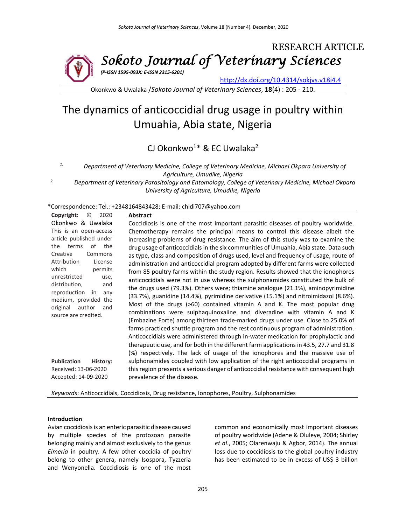

*(P-ISSN 1595-093X: E-ISSN 2315-6201)*

<http://dx.doi.org/10.4314/sokjvs.v18i4.4>

Okonkwo & Uwalaka /*Sokoto Journal of Veterinary Sciences*, **18**(4) : 205 - 210.

# The dynamics of anticoccidial drug usage in poultry within Umuahia, Abia state, Nigeria

CJ Okonkwo<sup>1\*</sup> & EC Uwalaka<sup>2</sup>

*1. Department of Veterinary Medicine, College of Veterinary Medicine, Michael Okpara University of Agriculture, Umudike, Nigeria*

*2. Department of Veterinary Parasitology and Entomology, College of Veterinary Medicine, Michael Okpara University of Agriculture, Umudike, Nigeria*

\*Correspondence: Tel.: +2348164843428; E-mail: chidi707@yahoo.com

| $\circledcirc$<br>Copyright:<br>2020              | <b>Abstract</b>                                                                                |
|---------------------------------------------------|------------------------------------------------------------------------------------------------|
| Okonkwo & Uwalaka                                 | Coccidiosis is one of the most important parasitic diseases of poultry worldwide.              |
| This is an open-access                            | Chemotherapy remains the principal means to control this disease albeit the                    |
| article published under                           | increasing problems of drug resistance. The aim of this study was to examine the               |
| terms<br>of the<br>the                            | drug usage of anticoccidials in the six communities of Umuahia, Abia state. Data such          |
| Creative<br>Commons                               | as type, class and composition of drugs used, level and frequency of usage, route of           |
| Attribution<br>License                            | administration and anticoccidial program adopted by different farms were collected             |
| which<br>permits                                  | from 85 poultry farms within the study region. Results showed that the ionophores              |
| unrestricted<br>use,                              | anticoccidials were not in use whereas the sulphonamides constituted the bulk of               |
| distribution,<br>and                              | the drugs used (79.3%). Others were; thiamine analogue (21.1%), aminopyrimidine                |
| reproduction<br>in<br>anv<br>medium, provided the | $(33.7%)$ , guanidine $(14.4%)$ , pyrimidine derivative $(15.1%)$ and nitroimidazol $(8.6%)$ . |
| original<br>author<br>and                         | Most of the drugs (>60) contained vitamin A and K. The most popular drug                       |
| source are credited.                              | combinations were sulphaquinoxaline and diveradine with vitamin A and K                        |
|                                                   | (Embazine Forte) among thirteen trade-marked drugs under use. Close to 25.0% of                |
|                                                   | farms practiced shuttle program and the rest continuous program of administration.             |
|                                                   | Anticoccidials were administered through in-water medication for prophylactic and              |
|                                                   | therapeutic use, and for both in the different farm applications in 43.5, 27.7 and 31.8        |
|                                                   | (%) respectively. The lack of usage of the ionophores and the massive use of                   |
| <b>Publication</b><br>History:                    | sulphonamides coupled with low application of the right anticoccidial programs in              |
| Received: 13-06-2020                              | this region presents a serious danger of anticoccidial resistance with consequent high         |
| Accepted: 14-09-2020                              | prevalence of the disease.                                                                     |
|                                                   |                                                                                                |

*Keywords*: Anticoccidials, Coccidiosis, Drug resistance, Ionophores, Poultry, Sulphonamides

## **Introduction**

Avian coccidiosis is an enteric parasitic disease caused by multiple species of the protozoan parasite belonging mainly and almost exclusively to the genus *Eimeria* in poultry. A few other coccidia of poultry belong to other genera, namely Isospora, Tyzzeria and Wenyonella. Coccidiosis is one of the most common and economically most important diseases of poultry worldwide (Adene & Oluleye, 2004; Shirley *et al*., 2005; Olarenwaju & Agbor, 2014). The annual loss due to coccidiosis to the global poultry industry has been estimated to be in excess of US\$ 3 billion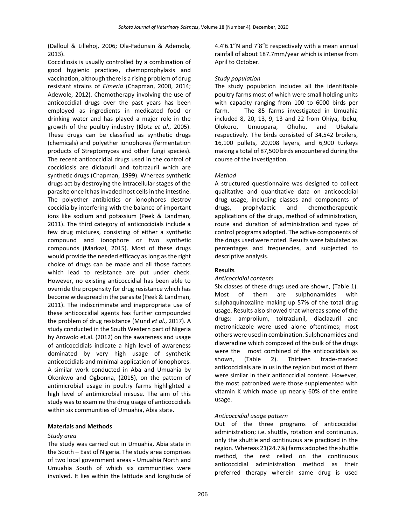(Dalloul & Lillehoj, 2006; Ola-Fadunsin & Ademola, 2013).

Coccidiosis is usually controlled by a combination of good hygienic practices, chemoprophylaxis and vaccination, although there is a rising problem of drug resistant strains of *Eimeria* (Chapman, 2000, 2014; Adewole, 2012). Chemotherapy involving the use of anticoccidial drugs over the past years has been employed as ingredients in medicated food or drinking water and has played a major role in the growth of the poultry industry (Klotz *et al*., 2005). These drugs can be classified as synthetic drugs (chemicals) and polyether ionophores (fermentation products of Streptomyces and other fungi species). The recent anticoccidial drugs used in the control of coccidiosis are diclazuril and toltrazuril which are synthetic drugs (Chapman, 1999). Whereas synthetic drugs act by destroying the intracellular stages of the parasite once it has invaded host cells in the intestine. The polyether antibiotics or ionophores destroy coccidia by interfering with the balance of important ions like sodium and potassium (Peek & Landman, 2011). The third category of anticoccidials include a few drug mixtures, consisting of either a synthetic compound and ionophore or two synthetic compounds (Markazi, 2015). Most of these drugs would provide the needed efficacy as long as the right choice of drugs can be made and all those factors which lead to resistance are put under check. However, no existing anticoccidial has been able to override the propensity for drug resistance which has become widespread in the parasite (Peek & Landman, 2011). The indiscriminate and inappropriate use of these anticoccidial agents has further compounded the problem of drug resistance (Mund *et al*., 2017). A study conducted in the South Western part of Nigeria by Arowolo et.al. (2012) on the awareness and usage of anticoccidials indicate a high level of awareness dominated by very high usage of synthetic anticoccidials and minimal application of ionophores. A similar work conducted in Aba and Umuahia by Okonkwo and Ogbonna, (2015), on the pattern of antimicrobial usage in poultry farms highlighted a high level of antimicrobial misuse. The aim of this study was to examine the drug usage of anticoccidials within six communities of Umuahia, Abia state.

## **Materials and Methods**

## *Study area*

The study was carried out in Umuahia, Abia state in the South – East of Nigeria. The study area comprises of two local government areas - Umuahia North and Umuahia South of which six communities were involved. It lies within the latitude and longitude of 4.4'6.1"N and 7'8"E respectively with a mean annual rainfall of about 187.7mm/year which is intense from April to October.

# *Study population*

The study population includes all the identifiable poultry farms most of which were small holding units with capacity ranging from 100 to 6000 birds per farm. The 85 farms investigated in Umuahia included 8, 20, 13, 9, 13 and 22 from Ohiya, Ibeku, Olokoro, Umuopara, Ohuhu, and Ubakala respectively. The birds consisted of 34,542 broilers, 16,100 pullets, 20,008 layers, and 6,900 turkeys making a total of 87,500 birds encountered during the course of the investigation.

# *Method*

A structured questionnaire was designed to collect qualitative and quantitative data on anticoccidial drug usage, including classes and components of drugs, prophylactic and chemotherapeutic applications of the drugs, method of administration, route and duration of administration and types of control programs adopted. The active components of the drugs used were noted. Results were tabulated as percentages and frequencies, and subjected to descriptive analysis.

## **Results**

## *Anticoccidial contents*

Six classes of these drugs used are shown, (Table 1). Most of them are sulphonamides with sulphaquinoxaline making up 57% of the total drug usage. Results also showed that whereas some of the drugs: amprolium, toltraziunil, diaclazuril and metronidazole were used alone oftentimes; most others were used in combination. Sulphonamides and diaveradine which composed of the bulk of the drugs were the most combined of the anticoccidials as shown, (Table 2). Thirteen trade-marked anticoccidials are in us in the region but most of them were similar in their anticoccidial content. However, the most patronized were those supplemented with vitamin K which made up nearly 60% of the entire usage.

## *Anticoccidial usage pattern*

Out of the three programs of anticoccidial administration; i.e. shuttle, rotation and continuous, only the shuttle and continuous are practiced in the region. Whereas 21(24.7%) farms adopted the shuttle method, the rest relied on the continuous anticoccidial administration method as their preferred therapy wherein same drug is used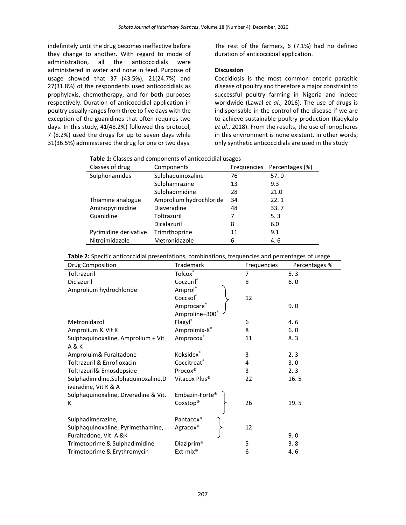indefinitely until the drug becomes ineffective before they change to another. With regard to mode of administration, all the anticoccidials were administered in water and none in feed. Purpose of usage showed that 37 (43.5%), 21(24.7%) and 27(31.8%) of the respondents used anticoccidials as prophylaxis, chemotherapy, and for both purposes respectively. Duration of anticoccidial application in poultry usually ranges from three to five days with the exception of the guanidines that often requires two days. In this study, 41(48.2%) followed this protocol, 7 (8.2%) used the drugs for up to seven days while 31(36.5%) administered the drug for one or two days.

The rest of the farmers, 6 (7.1%) had no defined duration of anticoccidial application.

# **Discussion**

Coccidiosis is the most common enteric parasitic disease of poultry and therefore a major constraint to successful poultry farming in Nigeria and indeed worldwide (Lawal *et al*., 2016). The use of drugs is indispensable in the control of the disease if we are to achieve sustainable poultry production (Kadykalo *et al*., 2018). From the results, the use of ionophores in this environment is none existent. In other words; only synthetic anticoccidials are used in the study

|  | Table 1: Classes and components of anticoccidial usages |
|--|---------------------------------------------------------|
|--|---------------------------------------------------------|

| Classes of drug       | Components              | Frequencies | Percentages (%) |
|-----------------------|-------------------------|-------------|-----------------|
| Sulphonamides         | Sulphaquinoxaline       | 76          | 57.0            |
|                       | Sulphamrazine           | 13          | 9.3             |
|                       | Sulphadimidine          | 28          | 21.0            |
| Thiamine analogue     | Amprolium hydrochloride | 34          | 22.1            |
| Aminopyrimidine       | Diaveradine             | 48          | 33.7            |
| Guanidine             | Toltrazuril             |             | 5.3             |
|                       | Dicalazuril             | 8           | 6.0             |
| Pyrimidine derivative | Trimrthoprine           | 11          | 9.1             |
| Nitroimidazole        | Metronidazole           | 6           | 4.6             |

| Table 2: Specific anticoccidial presentations, combinations, frequencies and percentages of usage |  |
|---------------------------------------------------------------------------------------------------|--|
|                                                                                                   |  |

| Drug Composition                     | Trademark                 | Frequencies | Percentages % |
|--------------------------------------|---------------------------|-------------|---------------|
| Toltrazuril                          | Tolcox®                   |             | 5.3           |
| Diclazuril                           | Coczuril®                 | 8           | 6.0           |
| Amprolium hydrochloride              | Amprol                    |             |               |
|                                      | Coccsol®                  | 12          |               |
|                                      | Amprocare®                |             | 9.0           |
|                                      | Amproline-300°            |             |               |
| Metronidazol                         | Flagyl®                   | 6           | 4.6           |
| Amprolium & Vit K                    | Amprolmix-K®              | 8           | 6.0           |
| Sulphaquinoxaline, Amprolium + Vit   | Amprocox®                 | 11          | 8.3           |
| A & K                                |                           |             |               |
| Amproluim& Furaltadone               | Koksidex®                 | 3           | 2.3           |
| Toltrazuril & Enrofloxacin           | Coccitreat®               | 4           | 3.0           |
| Toltrazuril& Emosdepside             | Procox®                   | 3           | 2.3           |
| Sulphadimidine, Sulphaquinoxaline, D | Vitacox Plus <sup>®</sup> | 22          | 16.5          |
| iveradine, Vit K & A                 |                           |             |               |
| Sulphaquinoxaline, Diveradine & Vit. | Embazin-Forte®            |             |               |
| к                                    | $Coxstop^*$               | 26          | 19.5          |
|                                      |                           |             |               |
| Sulphadimerazine,                    | Pantacox <sup>®</sup>     |             |               |
| Sulphaquinoxaline, Pyrimethamine,    | Agracox®                  | 12          |               |
| Furaltadone, Vit. A &K               |                           |             | 9.0           |
| Trimetoprime & Sulphadimidine        | Diaziprim <sup>®</sup>    | 5           | 3.8           |
| Trimetoprime & Erythromycin          | Ext-mix <sup>®</sup>      | 6           | 4.6           |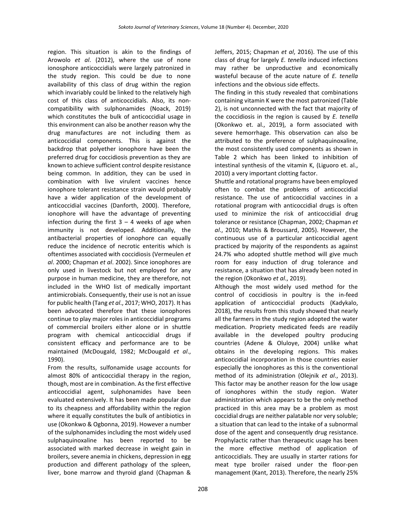region. This situation is akin to the findings of Arowolo *et al*. (2012), where the use of none ionosphore anticoccidials were largely patronized in the study region. This could be due to none availability of this class of drug within the region which invariably could be linked to the relatively high cost of this class of anticoccidials. Also, its noncompatibility with sulphonamides (Noack, 2019) which constitutes the bulk of anticoccidial usage in this environment can also be another reason why the drug manufactures are not including them as anticoccidial components. This is against the backdrop that polyether ionophore have been the preferred drug for coccidiosis prevention as they are known to achieve sufficient control despite resistance being common. In addition, they can be used in combination with live virulent vaccines hence ionophore tolerant resistance strain would probably have a wider application of the development of anticoccidial vaccines (Danforth, 2000). Therefore, ionophore will have the advantage of preventing infection during the first  $3 - 4$  weeks of age when immunity is not developed. Additionally, the antibacterial properties of ionophore can equally reduce the incidence of necrotic enteritis which is oftentimes associated with coccidiosis (Vermeulen *et al*. 2000; Chapman *et al*. 2002). Since ionophores are only used in livestock but not employed for any purpose in human medicine, they are therefore, not included in the WHO list of medically important antimicrobials. Consequently, their use is not an issue for public health (Tang *et al*., 2017; WHO, 2017). It has been advocated therefore that these ionophores continue to play major roles in anticoccidial programs of commercial broilers either alone or in shuttle program with chemical anticoccidial drugs if consistent efficacy and performance are to be maintained (McDougald, 1982; McDougald *et al*., 1990).

From the results, sulfonamide usage accounts for almost 80% of anticoccidial therapy in the region, though, most are in combination. As the first effective anticoccidial agent, sulphonamides have been evaluated extensively. It has been made popular due to its cheapness and affordability within the region where it equally constitutes the bulk of antibiotics in use (Okonkwo & Ogbonna, 2019). However a number of the sulphonamides including the most widely used sulphaquinoxaline has been reported to be associated with marked decrease in weight gain in broilers, severe anemia in chickens, depression in egg production and different pathology of the spleen, liver, bone marrow and thyroid gland (Chapman & Jeffers, 2015; Chapman *et al*, 2016). The use of this class of drug for largely *E. tenella* induced infections may rather be unproductive and economically wasteful because of the acute nature of *E. tenella* infections and the obvious side effects.

The finding in this study revealed that combinations containing vitamin K were the most patronized (Table 2), is not unconnected with the fact that majority of the coccidiosis in the region is caused by *E. tenella* (Okonkwo et. al., 2019), a form associated with severe hemorrhage. This observation can also be attributed to the preference of sulphaquinoxaline, the most consistently used components as shown in Table 2 which has been linked to inhibition of intestinal synthesis of the vitamin K, (Liguoro et. al., 2010) a very important clotting factor.

Shuttle and rotational programs have been employed often to combat the problems of anticoccidial resistance. The use of anticoccidial vaccines in a rotational program with anticoccidial drugs is often used to minimize the risk of anticoccidial drug tolerance or resistance (Chapman, 2002; Chapman *et al*., 2010; Mathis & Broussard, 2005). However, the continuous use of a particular anticoccidial agent practiced by majority of the respondents as against 24.7% who adopted shuttle method will give much room for easy induction of drug tolerance and resistance, a situation that has already been noted in the region (Okonkwo *et al*., 2019).

Although the most widely used method for the control of coccidiosis in poultry is the in-feed application of anticoccidial products (Kadykalo, 2018), the results from this study showed that nearly all the farmers in the study region adopted the water medication. Propriety medicated feeds are readily available in the developed poultry producing countries (Adene & Oluloye, 2004) unlike what obtains in the developing regions. This makes anticoccidial incorporation in those countries easier especially the ionophores as this is the conventional method of its administration (Olejnik *et al*., 2013). This factor may be another reason for the low usage of ionophores within the study region. Water administration which appears to be the only method practiced in this area may be a problem as most coccidial drugs are neither palatable nor very soluble; a situation that can lead to the intake of a subnormal dose of the agent and consequently drug resistance. Prophylactic rather than therapeutic usage has been the more effective method of application of anticoccidials. They are usually in starter rations for meat type broiler raised under the floor-pen management (Kant, 2013). Therefore, the nearly 25%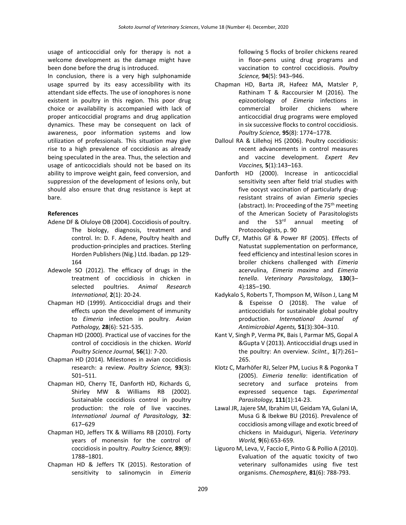usage of anticoccidial only for therapy is not a welcome development as the damage might have been done before the drug is introduced.

In conclusion, there is a very high sulphonamide usage spurred by its easy accessibility with its attendant side effects. The use of ionophores is none existent in poultry in this region. This poor drug choice or availability is accompanied with lack of proper anticoccidial programs and drug application dynamics. These may be consequent on lack of awareness, poor information systems and low utilization of professionals. This situation may give rise to a high prevalence of coccidiosis as already being speculated in the area. Thus, the selection and usage of anticoccidials should not be based on its ability to improve weight gain, feed conversion, and suppression of the development of lesions only, but should also ensure that drug resistance is kept at bare.

# **References**

- Adene DF & Oluloye OB (2004). Coccidiosis of poultry. The biology, diagnosis, treatment and control. In: D. F. Adene, Poultry health and production-principles and practices. Sterling Horden Publishers (Nig.) Ltd. Ibadan. pp 129- 164
- Adewole SO (2012). The efficacy of drugs in the treatment of coccidiosis in chicken in selected poultries. *Animal Research International,* **2**(1): 20-24.
- Chapman HD (1999). Anticoccidial drugs and their effects upon the development of immunity to *Eimeria* infection in poultry. *Avian Pathology,* **28**(6): 521-535.
- Chapman HD (2000). Practical use of vaccines for the control of coccidiosis in the chicken. *World Poultry Science Journal,* **56**(1): 7-20.
- Chapman HD (2014). Milestones in avian coccidiosis research: a review. *Poultry Science,* **93**(3): 501–511.
- Chapman HD, Cherry TE, Danforth HD, Richards G, Shirley MW & Williams RB (2002). Sustainable coccidiosis control in poultry production: the role of live vaccines. *International Journal of Parasitology,* **32**: 617–629
- Chapman HD, Jeffers TK & Williams RB (2010). Forty years of monensin for the control of coccidiosis in poultry. *Poultry Science,* **89**(9): 1788–1801.
- Chapman HD & Jeffers TK (2015). Restoration of sensitivity to salinomycin in *Eimeria*

following 5 flocks of broiler chickens reared in floor-pens using drug programs and vaccination to control coccidiosis. *Poultry Science,* **94**(5): 943–946.

- Chapman HD, Barta JR, Hafeez MA, Matsler P, Rathinam T & Raccoursier M (2016). The epizootiology of *Eimeria* infections in commercial broiler chickens where anticoccidial drug programs were employed in six successive flocks to control coccidiosis. *Poultry Science,* **95**(8): 1774–1778.
- Dalloul RA & Lillehoj HS (2006). Poultry coccidiosis: recent advancements in control measures and vaccine development. *Expert Rev Vaccines,* **5**(1):143–163.
- Danforth HD (2000). Increase in anticoccidial sensitivity seen after field trial studies with five oocyst vaccination of particularly drugresistant strains of avian *Eimeria* species (abstract). In: Proceeding of the  $75<sup>th</sup>$  meeting of the American Society of Parasitologists and the 53<sup>rd</sup> annual meeting of Protozoologists, p. 90
- Duffy CF, Mathis GF & Power RF (2005). Effects of Natustat supplementation on performance, feed efficiency and intestinal lesion scores in broiler chickens challenged with *Eimeria* acervulina, *Eimeria maxima* and *Eimeria tenella*. *Veterinary Parasitology,* **130**(3– 4):185–190.
- Kadykalo S, Roberts T, Thompson M, Wilson J, Lang M & Espeisse O (2018). The value of anticoccidials for sustainable global poultry production. *International Journal of Antimicrobial Agents,* **51**(3):304–310.
- Kant V, Singh P, Verma PK, Bais I, Parmar MS, Gopal A &Gupta V (2013). Anticoccidial drugs used in the poultry: An overview. *SciInt.,* **1**(7):261– 265.
- Klotz C, Marhöfer RJ, Selzer PM, Lucius R & Pogonka T (2005). *Eimeria tenella*: identification of secretory and surface proteins from expressed sequence tags. *Experimental Parasitology,* **111**(1):14-23.
- Lawal JR, Jajere SM, Ibrahim UI, Geidam YA, Gulani IA, Musa G & Ibekwe BU (2016). Prevalence of coccidiosis among village and exotic breed of chickens in Maiduguri, Nigeria. *Veterinary World,* **9**(6):653‐659.
- Liguoro M, Leva, V, Faccio E, Pinto G & Pollio A (2010). Evaluation of the aquatic toxicity of two veterinary sulfonamides using five test organisms. *Chemosphere,* **81**(6): 788-793.